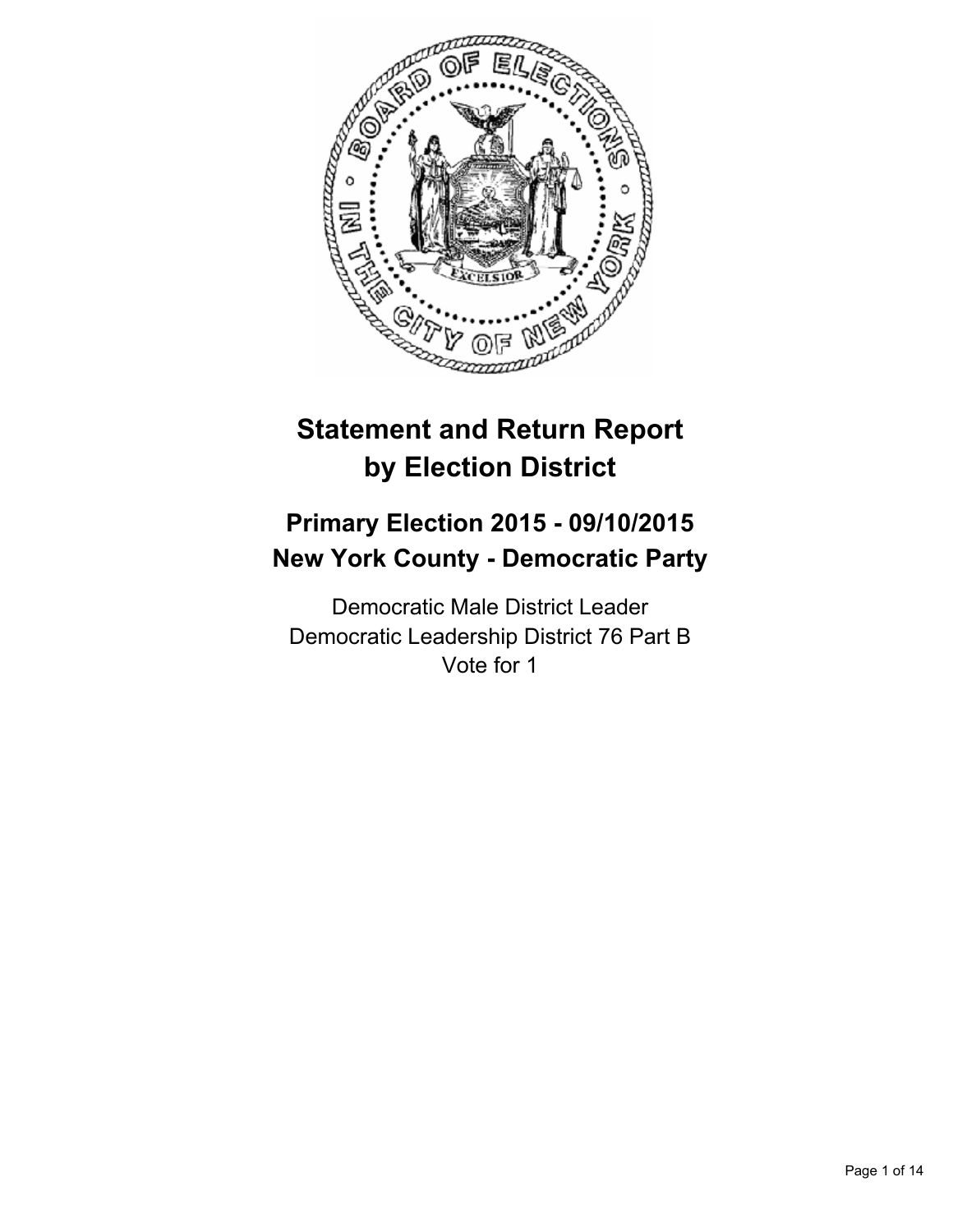

# **Statement and Return Report by Election District**

# **Primary Election 2015 - 09/10/2015 New York County - Democratic Party**

Democratic Male District Leader Democratic Leadership District 76 Part B Vote for 1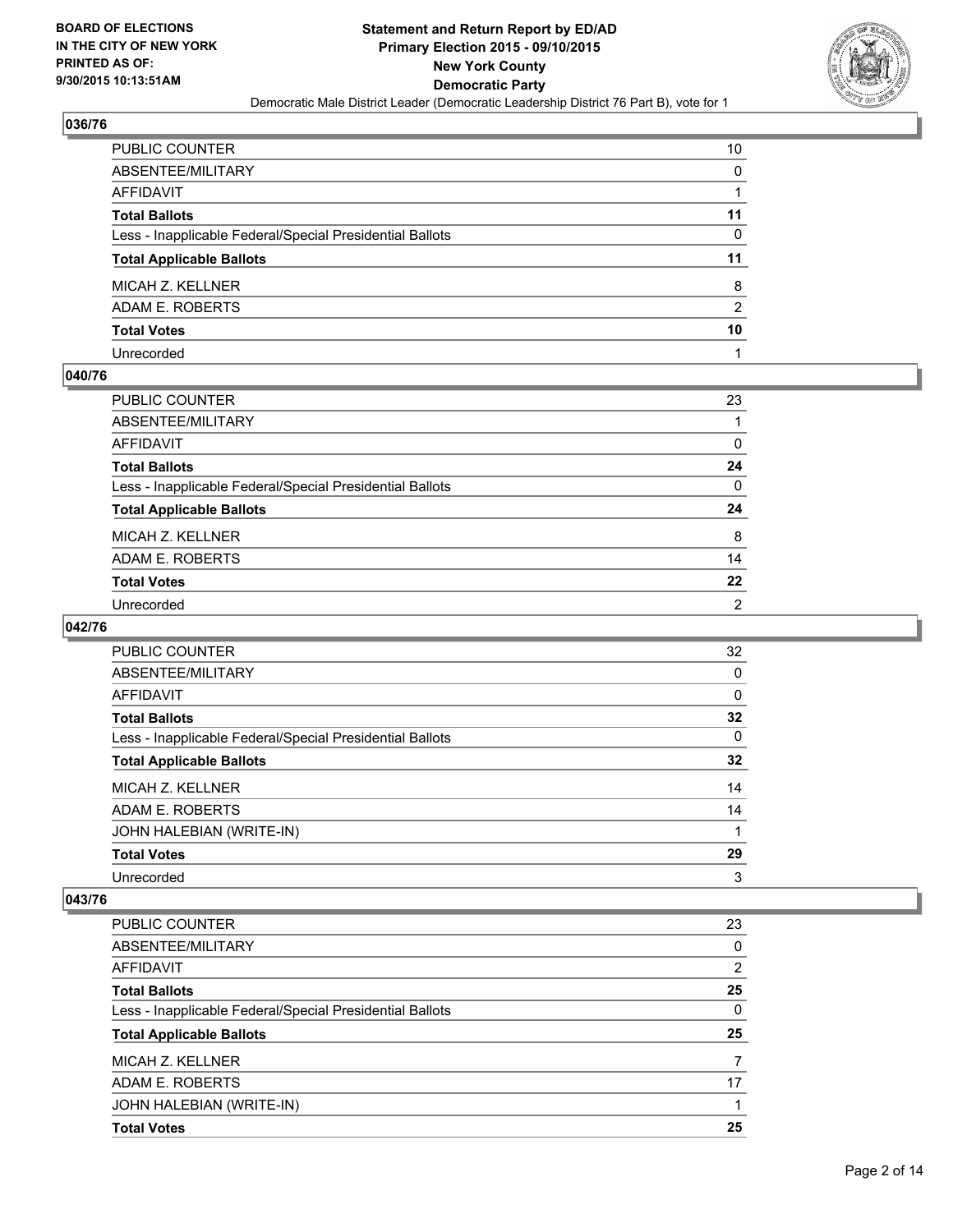

| PUBLIC COUNTER                                           | 10             |
|----------------------------------------------------------|----------------|
| ABSENTEE/MILITARY                                        | 0              |
| AFFIDAVIT                                                |                |
| Total Ballots                                            | 11             |
| Less - Inapplicable Federal/Special Presidential Ballots | 0              |
| <b>Total Applicable Ballots</b>                          | 11             |
| MICAH Z. KELLNER                                         | 8              |
| ADAM E. ROBERTS                                          | $\overline{2}$ |
| <b>Total Votes</b>                                       | 10             |
| Unrecorded                                               |                |

## **040/76**

| PUBLIC COUNTER                                           | 23             |
|----------------------------------------------------------|----------------|
| ABSENTEE/MILITARY                                        |                |
| AFFIDAVIT                                                | 0              |
| Total Ballots                                            | 24             |
| Less - Inapplicable Federal/Special Presidential Ballots | 0              |
| <b>Total Applicable Ballots</b>                          | 24             |
| MICAH Z. KELLNER                                         | 8              |
| ADAM E. ROBERTS                                          | 14             |
| <b>Total Votes</b>                                       | 22             |
| Unrecorded                                               | $\overline{2}$ |

#### **042/76**

| PUBLIC COUNTER                                           | 32 |
|----------------------------------------------------------|----|
| ABSENTEE/MILITARY                                        | 0  |
| <b>AFFIDAVIT</b>                                         | 0  |
| <b>Total Ballots</b>                                     | 32 |
| Less - Inapplicable Federal/Special Presidential Ballots | 0  |
| <b>Total Applicable Ballots</b>                          | 32 |
| MICAH Z. KELLNER                                         | 14 |
| ADAM E. ROBERTS                                          | 14 |
| JOHN HALEBIAN (WRITE-IN)                                 |    |
| <b>Total Votes</b>                                       | 29 |
| Unrecorded                                               | 3  |

| <b>PUBLIC COUNTER</b>                                    | 23             |
|----------------------------------------------------------|----------------|
| ABSENTEE/MILITARY                                        | 0              |
| AFFIDAVIT                                                | $\overline{2}$ |
| <b>Total Ballots</b>                                     | 25             |
| Less - Inapplicable Federal/Special Presidential Ballots | 0              |
| <b>Total Applicable Ballots</b>                          | 25             |
| MICAH Z. KELLNER                                         | 7              |
| ADAM E. ROBERTS                                          | 17             |
| JOHN HALEBIAN (WRITE-IN)                                 |                |
| <b>Total Votes</b>                                       | 25             |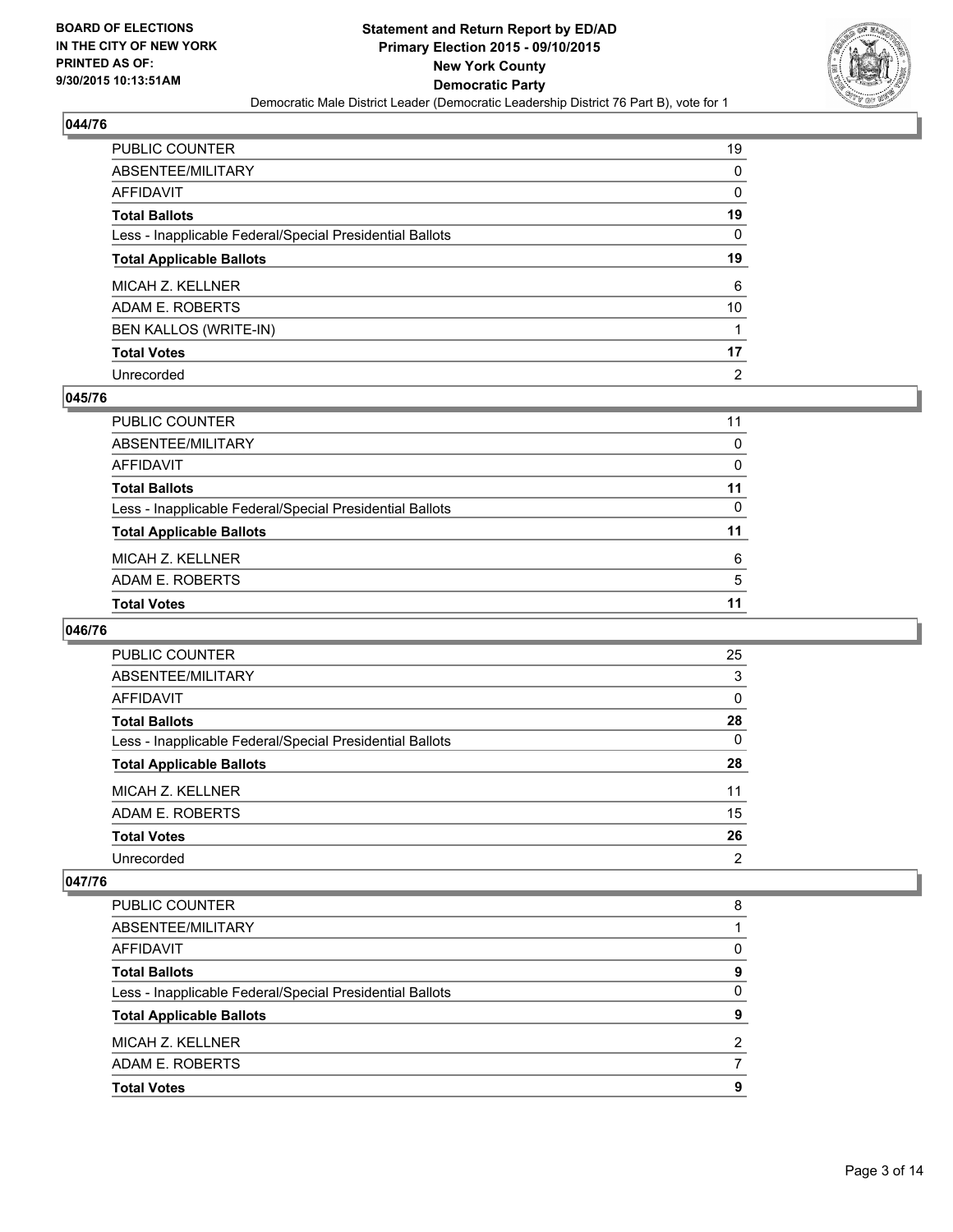

| PUBLIC COUNTER                                           | 19             |
|----------------------------------------------------------|----------------|
| ABSENTEE/MILITARY                                        | 0              |
| AFFIDAVIT                                                | 0              |
| Total Ballots                                            | 19             |
| Less - Inapplicable Federal/Special Presidential Ballots | $\mathbf{0}$   |
| <b>Total Applicable Ballots</b>                          | 19             |
| MICAH Z. KELLNER                                         | 6              |
| ADAM E. ROBERTS                                          | 10             |
| BEN KALLOS (WRITE-IN)                                    |                |
| <b>Total Votes</b>                                       | 17             |
| Unrecorded                                               | $\overline{2}$ |

#### **045/76**

| PUBLIC COUNTER                                           | 11       |
|----------------------------------------------------------|----------|
| ABSENTEE/MILITARY                                        | $\Omega$ |
| <b>AFFIDAVIT</b>                                         | $\Omega$ |
| <b>Total Ballots</b>                                     | 11       |
| Less - Inapplicable Federal/Special Presidential Ballots | 0        |
| <b>Total Applicable Ballots</b>                          | 11       |
| MICAH Z. KELLNER                                         | 6        |
| ADAM E. ROBERTS                                          | -5       |
| <b>Total Votes</b>                                       | 11       |
|                                                          |          |

#### **046/76**

| <b>PUBLIC COUNTER</b>                                    | 25       |
|----------------------------------------------------------|----------|
| ABSENTEE/MILITARY                                        | 3        |
| AFFIDAVIT                                                | $\Omega$ |
| <b>Total Ballots</b>                                     | 28       |
| Less - Inapplicable Federal/Special Presidential Ballots | 0        |
| <b>Total Applicable Ballots</b>                          | 28       |
| MICAH Z. KELLNER                                         | 11       |
| ADAM E. ROBERTS                                          | 15       |
| <b>Total Votes</b>                                       | 26       |
| Unrecorded                                               | 2        |

| <b>PUBLIC COUNTER</b>                                    | 8 |
|----------------------------------------------------------|---|
| ABSENTEE/MILITARY                                        |   |
| AFFIDAVIT                                                | 0 |
| <b>Total Ballots</b>                                     | 9 |
| Less - Inapplicable Federal/Special Presidential Ballots | 0 |
| <b>Total Applicable Ballots</b>                          | 9 |
| MICAH Z. KELLNER                                         | 2 |
| ADAM E. ROBERTS                                          |   |
| <b>Total Votes</b>                                       | 9 |
|                                                          |   |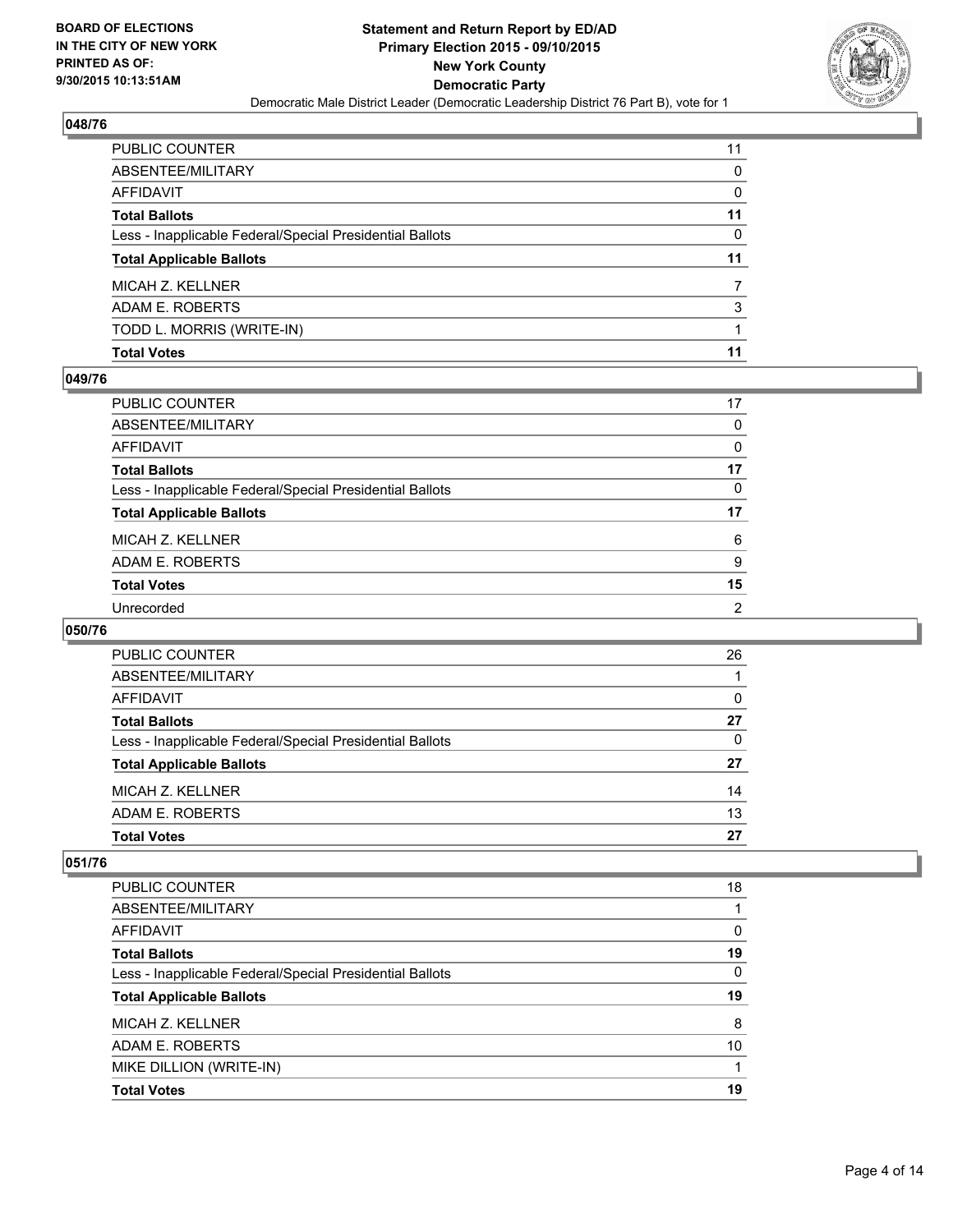

| PUBLIC COUNTER                                           | 11 |
|----------------------------------------------------------|----|
| ABSENTEE/MILITARY                                        | 0  |
| <b>AFFIDAVIT</b>                                         | 0  |
| <b>Total Ballots</b>                                     | 11 |
| Less - Inapplicable Federal/Special Presidential Ballots | 0  |
| <b>Total Applicable Ballots</b>                          | 11 |
| MICAH Z. KELLNER                                         |    |
| ADAM E. ROBERTS                                          | 3  |
| TODD L. MORRIS (WRITE-IN)                                |    |
| <b>Total Votes</b>                                       | 11 |

#### **049/76**

| PUBLIC COUNTER                                           | 17           |
|----------------------------------------------------------|--------------|
| ABSENTEE/MILITARY                                        | $\mathbf{0}$ |
| AFFIDAVIT                                                | 0            |
| <b>Total Ballots</b>                                     | 17           |
| Less - Inapplicable Federal/Special Presidential Ballots | 0            |
| <b>Total Applicable Ballots</b>                          | 17           |
| MICAH Z. KELLNER                                         | 6            |
| ADAM E. ROBERTS                                          | 9            |
| <b>Total Votes</b>                                       | 15           |
| Unrecorded                                               | 2            |

# **050/76**

| <b>PUBLIC COUNTER</b>                                    | 26 |
|----------------------------------------------------------|----|
| ABSENTEE/MILITARY                                        |    |
| <b>AFFIDAVIT</b>                                         | 0  |
| <b>Total Ballots</b>                                     | 27 |
| Less - Inapplicable Federal/Special Presidential Ballots | 0  |
| <b>Total Applicable Ballots</b>                          | 27 |
| MICAH Z. KELLNER                                         | 14 |
| ADAM E. ROBERTS                                          | 13 |
| <b>Total Votes</b>                                       | 27 |

| <b>PUBLIC COUNTER</b>                                    | 18 |
|----------------------------------------------------------|----|
| ABSENTEE/MILITARY                                        |    |
| AFFIDAVIT                                                | 0  |
| <b>Total Ballots</b>                                     | 19 |
| Less - Inapplicable Federal/Special Presidential Ballots | 0  |
| <b>Total Applicable Ballots</b>                          | 19 |
| MICAH Z. KELLNER                                         | 8  |
| ADAM E. ROBERTS                                          | 10 |
| MIKE DILLION (WRITE-IN)                                  |    |
| <b>Total Votes</b>                                       | 19 |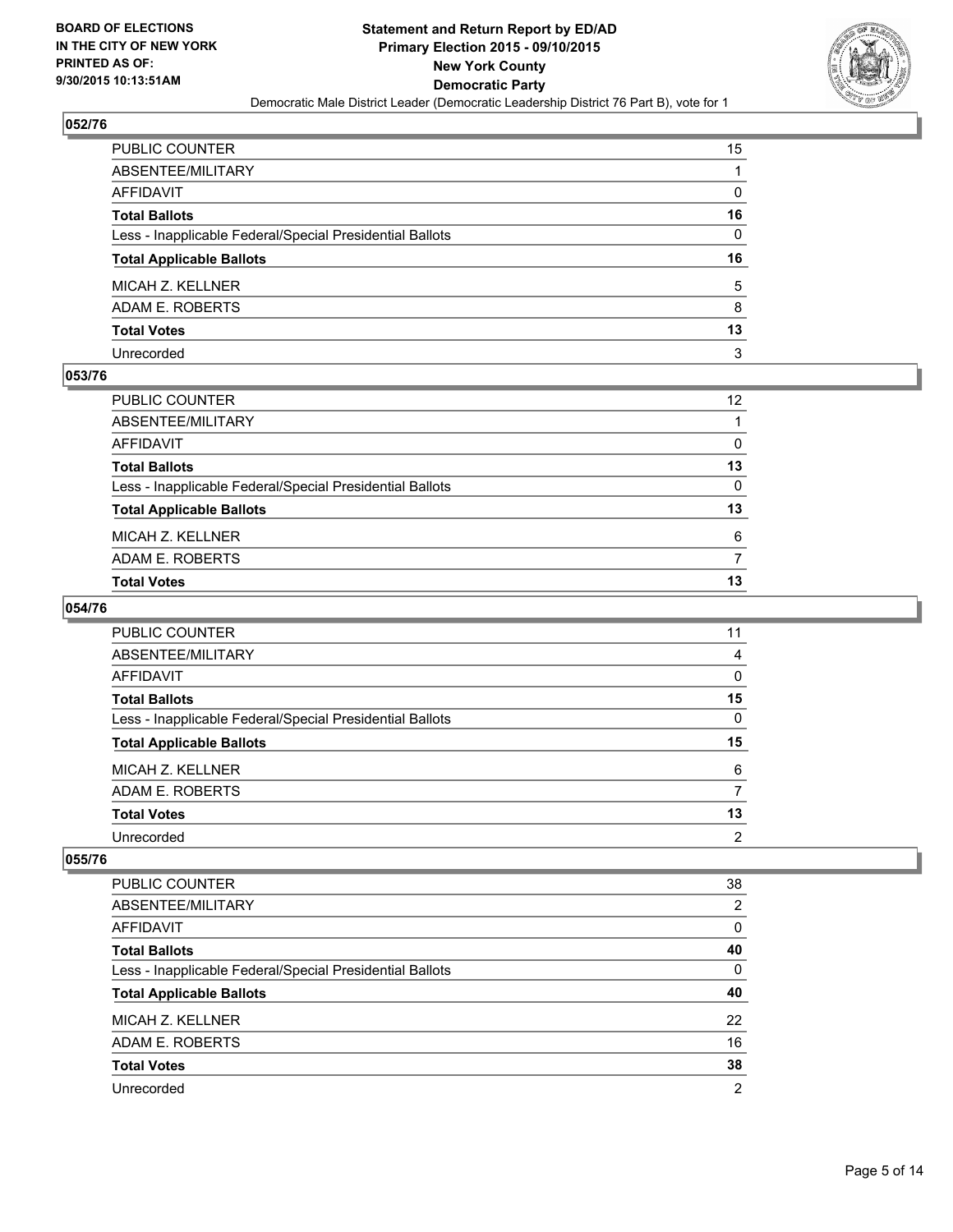

| PUBLIC COUNTER                                           | 15 |
|----------------------------------------------------------|----|
| ABSENTEE/MILITARY                                        |    |
| AFFIDAVIT                                                | 0  |
| Total Ballots                                            | 16 |
| Less - Inapplicable Federal/Special Presidential Ballots | 0  |
| <b>Total Applicable Ballots</b>                          | 16 |
| MICAH Z. KELLNER                                         | 5  |
| ADAM E. ROBERTS                                          | 8  |
| <b>Total Votes</b>                                       | 13 |
| Unrecorded                                               | 3  |

## **053/76**

| PUBLIC COUNTER                                           | 12 |
|----------------------------------------------------------|----|
| ABSENTEE/MILITARY                                        |    |
| AFFIDAVIT                                                | 0  |
| Total Ballots                                            | 13 |
| Less - Inapplicable Federal/Special Presidential Ballots | 0  |
| <b>Total Applicable Ballots</b>                          | 13 |
| MICAH Z. KELLNER                                         | 6  |
| ADAM E. ROBERTS                                          |    |
| Total Votes                                              | 13 |
|                                                          |    |

# **054/76**

| <b>PUBLIC COUNTER</b>                                    | 11 |
|----------------------------------------------------------|----|
| ABSENTEE/MILITARY                                        | 4  |
| AFFIDAVIT                                                | 0  |
| <b>Total Ballots</b>                                     | 15 |
| Less - Inapplicable Federal/Special Presidential Ballots | 0  |
| <b>Total Applicable Ballots</b>                          | 15 |
| MICAH Z. KELLNER                                         | 6  |
| ADAM E. ROBERTS                                          |    |
| <b>Total Votes</b>                                       | 13 |
| Unrecorded                                               | 2  |

| <b>PUBLIC COUNTER</b>                                    | 38 |
|----------------------------------------------------------|----|
| ABSENTEE/MILITARY                                        | 2  |
| <b>AFFIDAVIT</b>                                         | 0  |
| <b>Total Ballots</b>                                     | 40 |
| Less - Inapplicable Federal/Special Presidential Ballots | 0  |
| <b>Total Applicable Ballots</b>                          | 40 |
| MICAH Z. KELLNER                                         | 22 |
| ADAM E. ROBERTS                                          | 16 |
| <b>Total Votes</b>                                       | 38 |
|                                                          |    |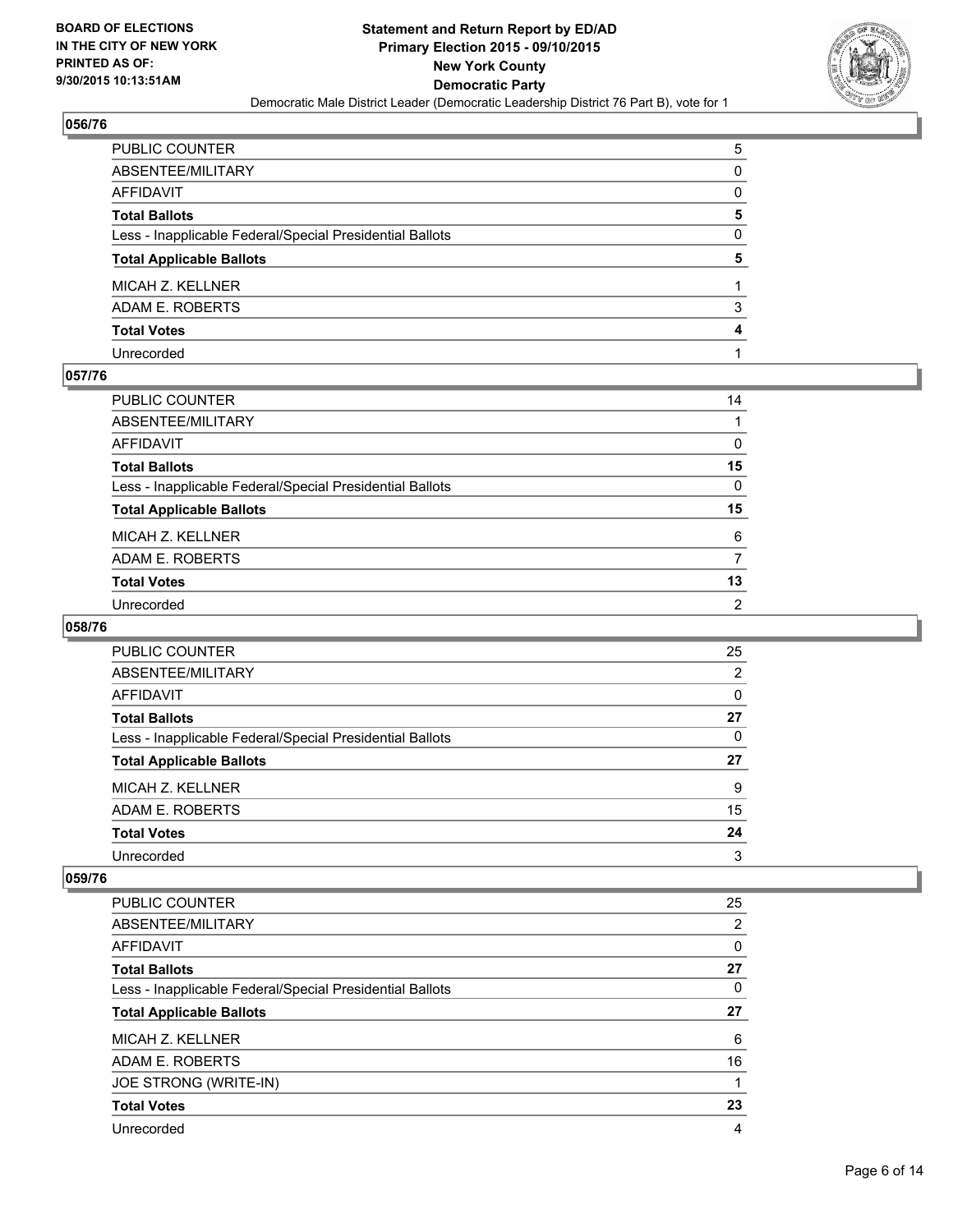

| PUBLIC COUNTER                                           | 5 |
|----------------------------------------------------------|---|
| ABSENTEE/MILITARY                                        | 0 |
| AFFIDAVIT                                                | 0 |
| Total Ballots                                            | 5 |
| Less - Inapplicable Federal/Special Presidential Ballots | 0 |
| <b>Total Applicable Ballots</b>                          | 5 |
| MICAH Z. KELLNER                                         |   |
| ADAM E. ROBERTS                                          | 3 |
| <b>Total Votes</b>                                       | 4 |
| Unrecorded                                               |   |

## **057/76**

| PUBLIC COUNTER                                           | 14             |
|----------------------------------------------------------|----------------|
| ABSENTEE/MILITARY                                        |                |
| AFFIDAVIT                                                | 0              |
| Total Ballots                                            | 15             |
| Less - Inapplicable Federal/Special Presidential Ballots | 0              |
| <b>Total Applicable Ballots</b>                          | 15             |
| MICAH Z. KELLNER                                         | 6              |
| ADAM E. ROBERTS                                          | 7              |
| <b>Total Votes</b>                                       | 13             |
| Unrecorded                                               | $\overline{2}$ |

#### **058/76**

| PUBLIC COUNTER                                           | 25 |
|----------------------------------------------------------|----|
| ABSENTEE/MILITARY                                        | 2  |
| AFFIDAVIT                                                | 0  |
| <b>Total Ballots</b>                                     | 27 |
| Less - Inapplicable Federal/Special Presidential Ballots | 0  |
| <b>Total Applicable Ballots</b>                          | 27 |
| MICAH Z. KELLNER                                         | 9  |
| ADAM E. ROBERTS                                          | 15 |
| <b>Total Votes</b>                                       | 24 |
| Unrecorded                                               | 3  |
|                                                          |    |

| <b>PUBLIC COUNTER</b>                                    | 25 |
|----------------------------------------------------------|----|
| ABSENTEE/MILITARY                                        | 2  |
| AFFIDAVIT                                                | 0  |
| <b>Total Ballots</b>                                     | 27 |
| Less - Inapplicable Federal/Special Presidential Ballots | 0  |
| <b>Total Applicable Ballots</b>                          | 27 |
| MICAH Z. KELLNER                                         | 6  |
| ADAM E. ROBERTS                                          | 16 |
| JOE STRONG (WRITE-IN)                                    |    |
| <b>Total Votes</b>                                       | 23 |
| Unrecorded                                               | 4  |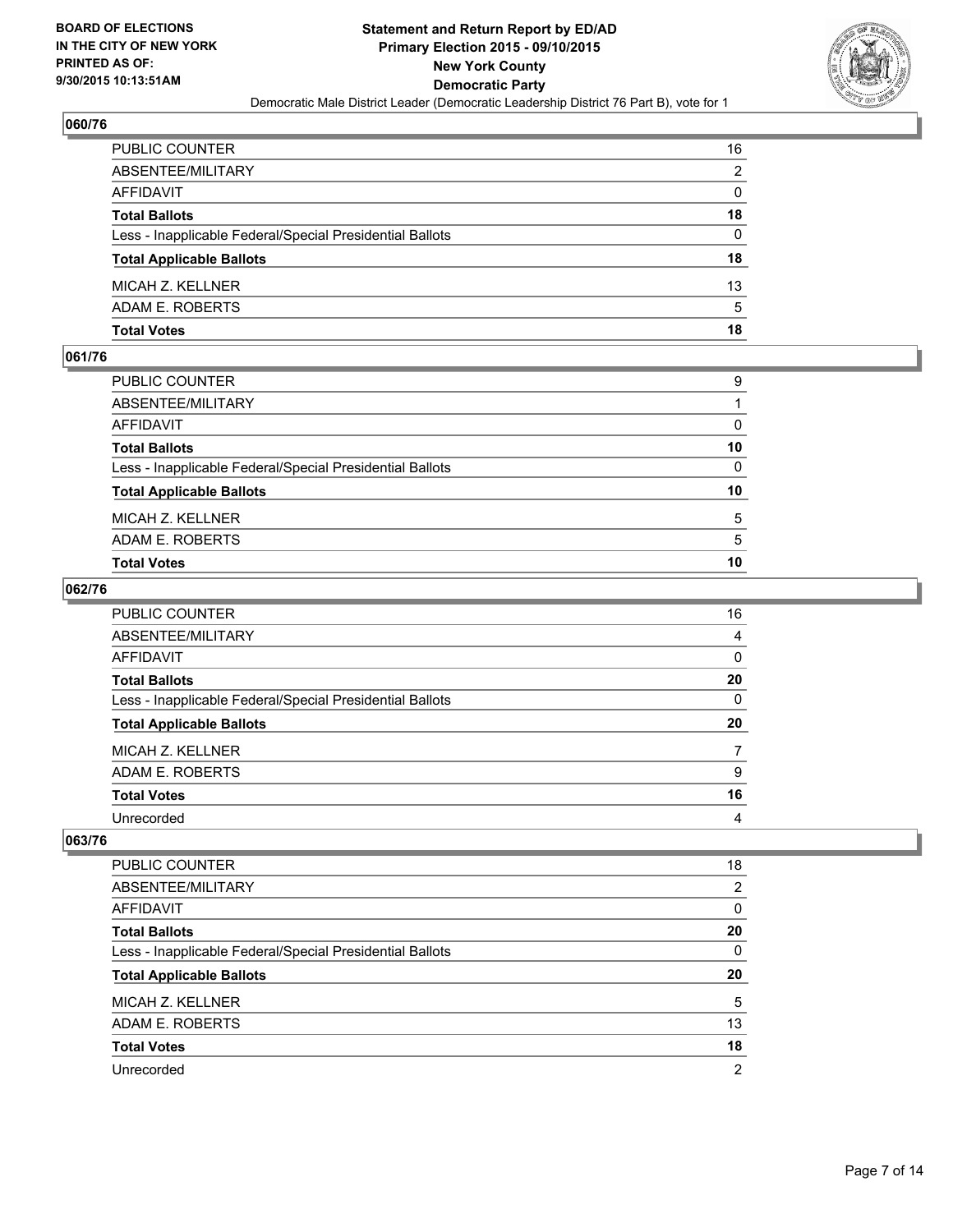

| PUBLIC COUNTER                                           | 16 |
|----------------------------------------------------------|----|
| ABSENTEE/MILITARY                                        | 2  |
| AFFIDAVIT                                                | 0  |
| Total Ballots                                            | 18 |
| Less - Inapplicable Federal/Special Presidential Ballots | 0  |
| <b>Total Applicable Ballots</b>                          | 18 |
| MICAH Z. KELLNER                                         | 13 |
| ADAM E. ROBERTS                                          | 5  |
| Total Votes                                              | 18 |

## **061/76**

| 5<br>5<br>10 |
|--------------|
|              |
|              |
|              |
| 10           |
| $\mathbf{0}$ |
| 10           |
| $\Omega$     |
|              |
| 9            |
|              |

#### **062/76**

| PUBLIC COUNTER                                           | 16                      |
|----------------------------------------------------------|-------------------------|
| ABSENTEE/MILITARY                                        | $\overline{4}$          |
| AFFIDAVIT                                                | 0                       |
| Total Ballots                                            | 20                      |
| Less - Inapplicable Federal/Special Presidential Ballots | 0                       |
| <b>Total Applicable Ballots</b>                          | 20                      |
| MICAH Z. KELLNER                                         | 7                       |
| ADAM E. ROBERTS                                          | 9                       |
| <b>Total Votes</b>                                       | 16                      |
| Unrecorded                                               | $\overline{\mathbf{4}}$ |
|                                                          |                         |

| <b>PUBLIC COUNTER</b>                                    | 18 |
|----------------------------------------------------------|----|
| ABSENTEE/MILITARY                                        | 2  |
| AFFIDAVIT                                                | 0  |
| <b>Total Ballots</b>                                     | 20 |
| Less - Inapplicable Federal/Special Presidential Ballots | 0  |
| <b>Total Applicable Ballots</b>                          | 20 |
| MICAH Z. KELLNER                                         | 5  |
| ADAM E. ROBERTS                                          | 13 |
| <b>Total Votes</b>                                       | 18 |
| Unrecorded                                               | 2  |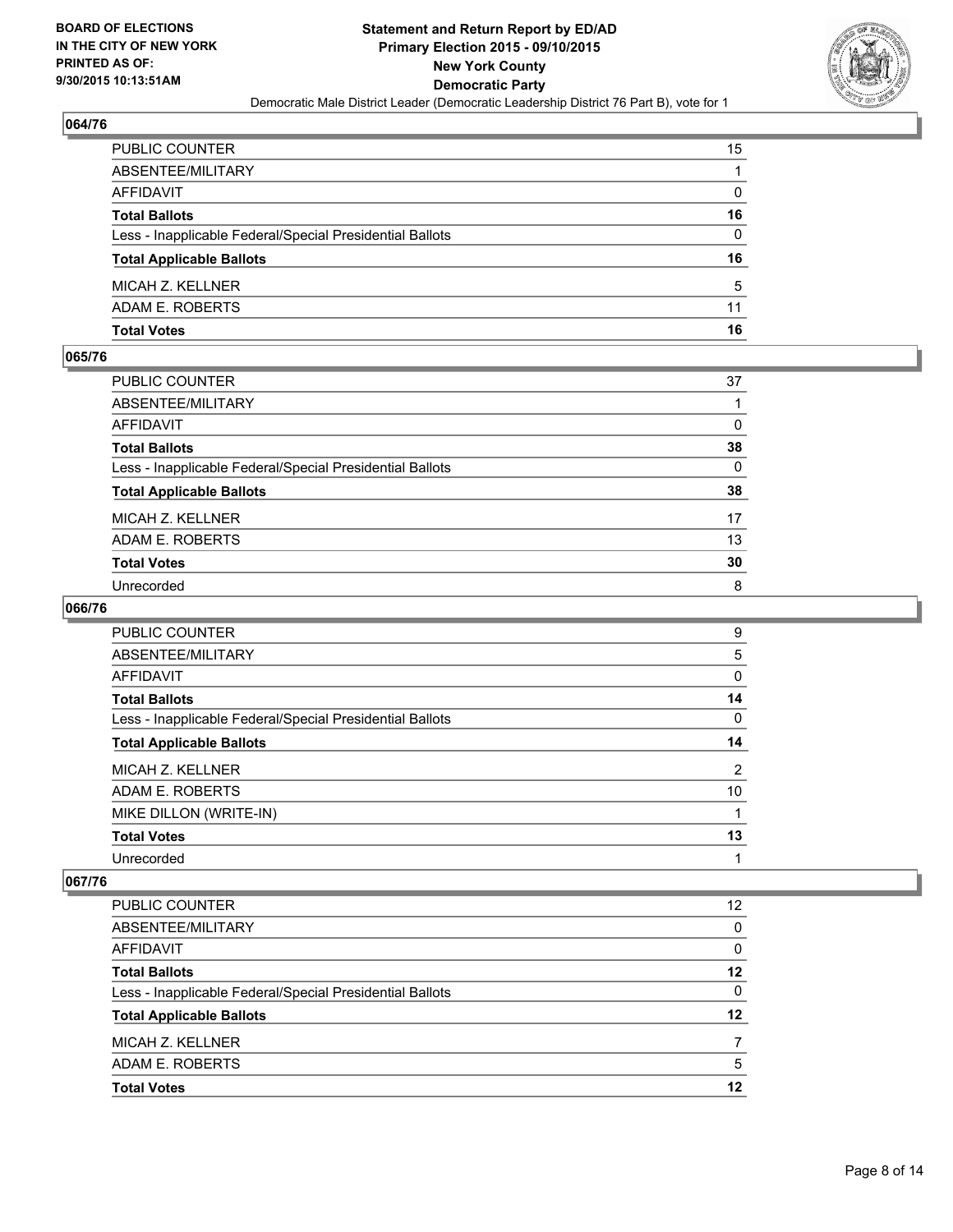

| PUBLIC COUNTER                                           | 15           |
|----------------------------------------------------------|--------------|
| ABSENTEE/MILITARY                                        |              |
| AFFIDAVIT                                                | $\mathbf{0}$ |
| <b>Total Ballots</b>                                     | 16           |
| Less - Inapplicable Federal/Special Presidential Ballots | $\Omega$     |
| <b>Total Applicable Ballots</b>                          | 16           |
| MICAH Z. KELLNER                                         | 5            |
| ADAM E. ROBERTS                                          | 11           |
| Total Votes                                              | 16           |

#### **065/76**

| PUBLIC COUNTER                                           | 37       |
|----------------------------------------------------------|----------|
| ABSENTEE/MILITARY                                        |          |
| AFFIDAVIT                                                | 0        |
| <b>Total Ballots</b>                                     | 38       |
| Less - Inapplicable Federal/Special Presidential Ballots | $\Omega$ |
| <b>Total Applicable Ballots</b>                          | 38       |
| MICAH Z. KELLNER                                         | 17       |
| ADAM E. ROBERTS                                          | 13       |
| <b>Total Votes</b>                                       | 30       |
| Unrecorded                                               | 8        |
|                                                          |          |

# **066/76**

| <b>PUBLIC COUNTER</b>                                    | 9  |
|----------------------------------------------------------|----|
|                                                          |    |
| ABSENTEE/MILITARY                                        | 5  |
| AFFIDAVIT                                                | 0  |
| <b>Total Ballots</b>                                     | 14 |
| Less - Inapplicable Federal/Special Presidential Ballots | 0  |
| <b>Total Applicable Ballots</b>                          | 14 |
| MICAH Z. KELLNER                                         | 2  |
| ADAM E. ROBERTS                                          | 10 |
| MIKE DILLON (WRITE-IN)                                   |    |
| <b>Total Votes</b>                                       | 13 |
| Unrecorded                                               | 1  |

| <b>PUBLIC COUNTER</b>                                    | 12 |
|----------------------------------------------------------|----|
| ABSENTEE/MILITARY                                        | 0  |
| AFFIDAVIT                                                | 0  |
| <b>Total Ballots</b>                                     | 12 |
| Less - Inapplicable Federal/Special Presidential Ballots | 0  |
| <b>Total Applicable Ballots</b>                          | 12 |
| MICAH Z. KELLNER                                         |    |
| ADAM E. ROBERTS                                          | 5  |
| <b>Total Votes</b>                                       | 12 |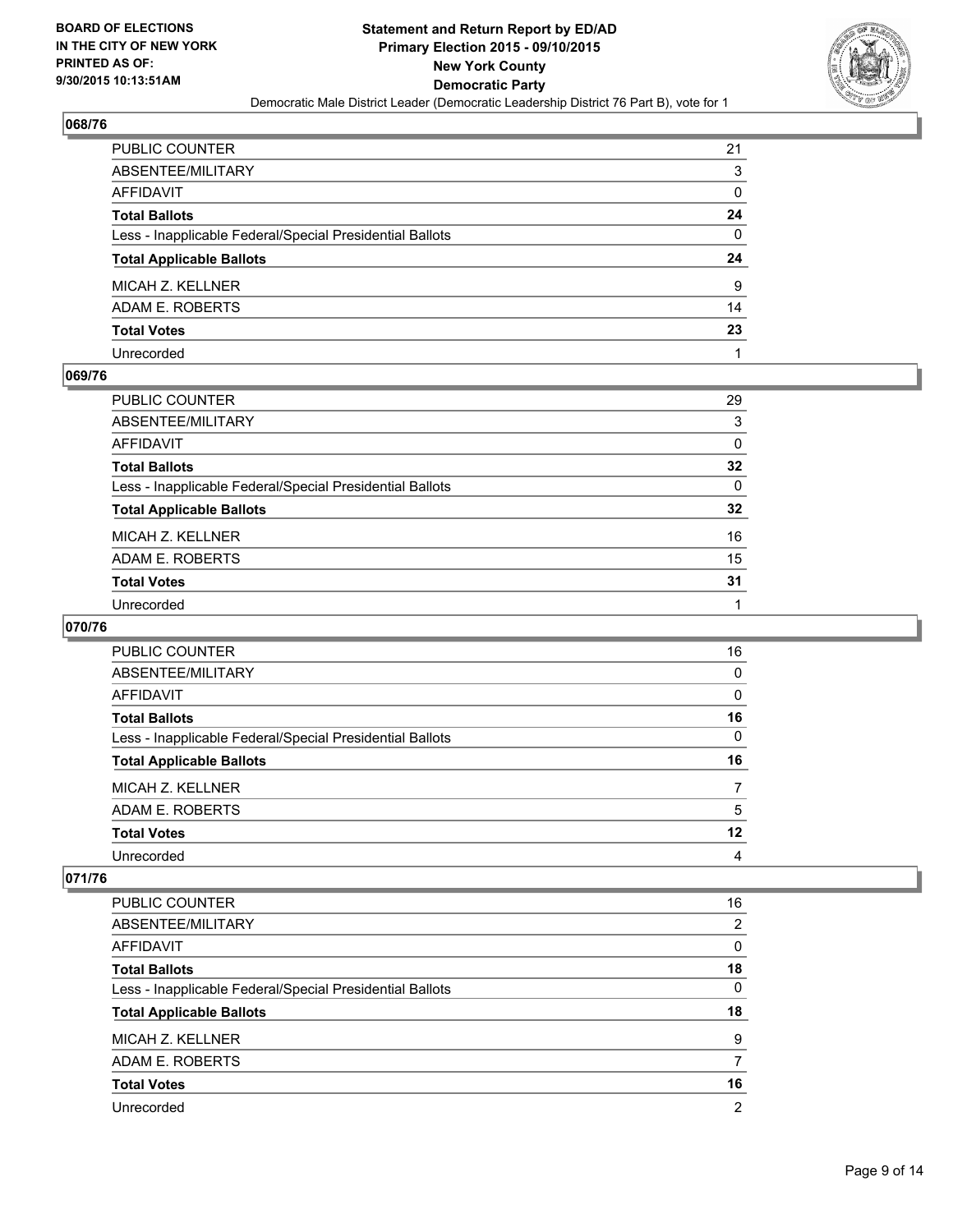

| PUBLIC COUNTER                                           | 21 |
|----------------------------------------------------------|----|
| ABSENTEE/MILITARY                                        | 3  |
| AFFIDAVIT                                                | 0  |
| Total Ballots                                            | 24 |
| Less - Inapplicable Federal/Special Presidential Ballots | 0  |
| <b>Total Applicable Ballots</b>                          | 24 |
| MICAH Z. KELLNER                                         | 9  |
| ADAM E. ROBERTS                                          | 14 |
| <b>Total Votes</b>                                       | 23 |
| Unrecorded                                               |    |

## **069/76**

| PUBLIC COUNTER                                           | 29              |
|----------------------------------------------------------|-----------------|
| ABSENTEE/MILITARY                                        | 3               |
| AFFIDAVIT                                                | 0               |
| Total Ballots                                            | $32\phantom{a}$ |
| Less - Inapplicable Federal/Special Presidential Ballots | $\Omega$        |
| <b>Total Applicable Ballots</b>                          | $32\phantom{a}$ |
| MICAH Z. KELLNER                                         | 16              |
| ADAM E. ROBERTS                                          | 15              |
| <b>Total Votes</b>                                       | 31              |
| Unrecorded                                               |                 |

# **070/76**

| PUBLIC COUNTER                                           | 16 |
|----------------------------------------------------------|----|
| ABSENTEE/MILITARY                                        | 0  |
| AFFIDAVIT                                                | 0  |
| <b>Total Ballots</b>                                     | 16 |
| Less - Inapplicable Federal/Special Presidential Ballots | 0  |
| <b>Total Applicable Ballots</b>                          | 16 |
| MICAH Z. KELLNER                                         | 7  |
| ADAM E. ROBERTS                                          | 5  |
| <b>Total Votes</b>                                       | 12 |
| Unrecorded                                               | 4  |
|                                                          |    |

| <b>PUBLIC COUNTER</b>                                    | 16             |
|----------------------------------------------------------|----------------|
| ABSENTEE/MILITARY                                        | $\overline{2}$ |
| <b>AFFIDAVIT</b>                                         | 0              |
| <b>Total Ballots</b>                                     | 18             |
| Less - Inapplicable Federal/Special Presidential Ballots | $\Omega$       |
| <b>Total Applicable Ballots</b>                          | 18             |
| MICAH Z. KELLNER                                         | 9              |
| ADAM E. ROBERTS                                          |                |
| <b>Total Votes</b>                                       | 16             |
| Unrecorded                                               | 2              |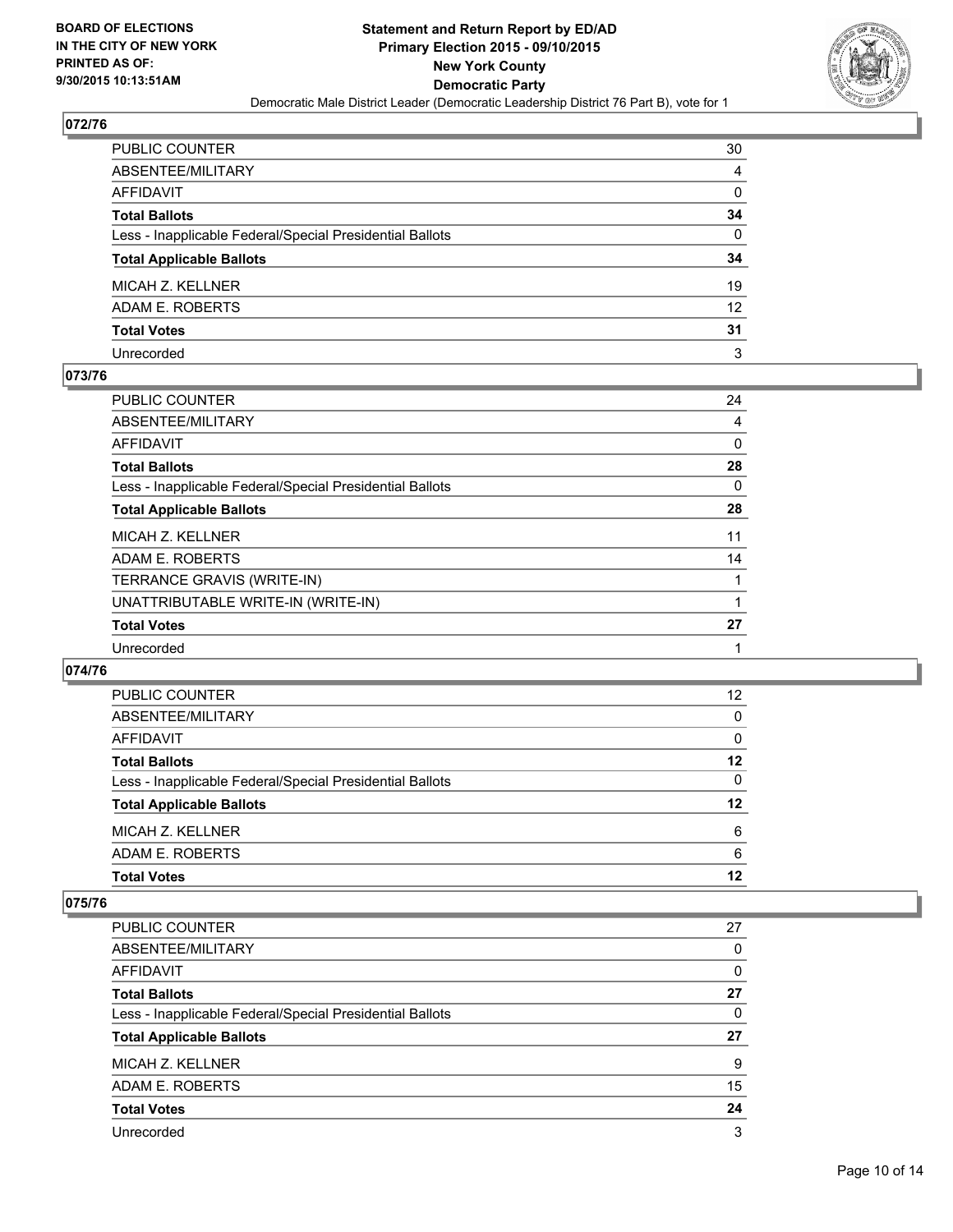

| PUBLIC COUNTER                                           | 30           |
|----------------------------------------------------------|--------------|
| ABSENTEE/MILITARY                                        | 4            |
| AFFIDAVIT                                                | 0            |
| Total Ballots                                            | 34           |
| Less - Inapplicable Federal/Special Presidential Ballots | $\mathbf{0}$ |
| <b>Total Applicable Ballots</b>                          | 34           |
| MICAH Z. KELLNER                                         | 19           |
| ADAM E. ROBERTS                                          | 12           |
| <b>Total Votes</b>                                       | 31           |
| Unrecorded                                               | 3            |

#### **073/76**

| PUBLIC COUNTER                                           | 24 |
|----------------------------------------------------------|----|
| ABSENTEE/MILITARY                                        | 4  |
| AFFIDAVIT                                                | 0  |
| <b>Total Ballots</b>                                     | 28 |
| Less - Inapplicable Federal/Special Presidential Ballots | 0  |
| <b>Total Applicable Ballots</b>                          | 28 |
| MICAH Z. KELLNER                                         | 11 |
| ADAM E. ROBERTS                                          | 14 |
| TERRANCE GRAVIS (WRITE-IN)                               |    |
| UNATTRIBUTABLE WRITE-IN (WRITE-IN)                       |    |
| <b>Total Votes</b>                                       | 27 |
| Unrecorded                                               | 1  |

#### **074/76**

| <b>PUBLIC COUNTER</b>                                    | 12 |
|----------------------------------------------------------|----|
| ABSENTEE/MILITARY                                        | 0  |
| AFFIDAVIT                                                | 0  |
| <b>Total Ballots</b>                                     | 12 |
| Less - Inapplicable Federal/Special Presidential Ballots | 0  |
| <b>Total Applicable Ballots</b>                          | 12 |
| MICAH Z. KELLNER                                         | 6  |
| ADAM E. ROBERTS                                          | 6  |
| <b>Total Votes</b>                                       | 12 |
|                                                          |    |

| <b>PUBLIC COUNTER</b>                                    | 27 |
|----------------------------------------------------------|----|
| ABSENTEE/MILITARY                                        | 0  |
| <b>AFFIDAVIT</b>                                         | 0  |
| <b>Total Ballots</b>                                     | 27 |
| Less - Inapplicable Federal/Special Presidential Ballots | 0  |
| <b>Total Applicable Ballots</b>                          | 27 |
| MICAH Z. KELLNER                                         | 9  |
| ADAM E. ROBERTS                                          | 15 |
| <b>Total Votes</b>                                       | 24 |
| Unrecorded                                               | 3  |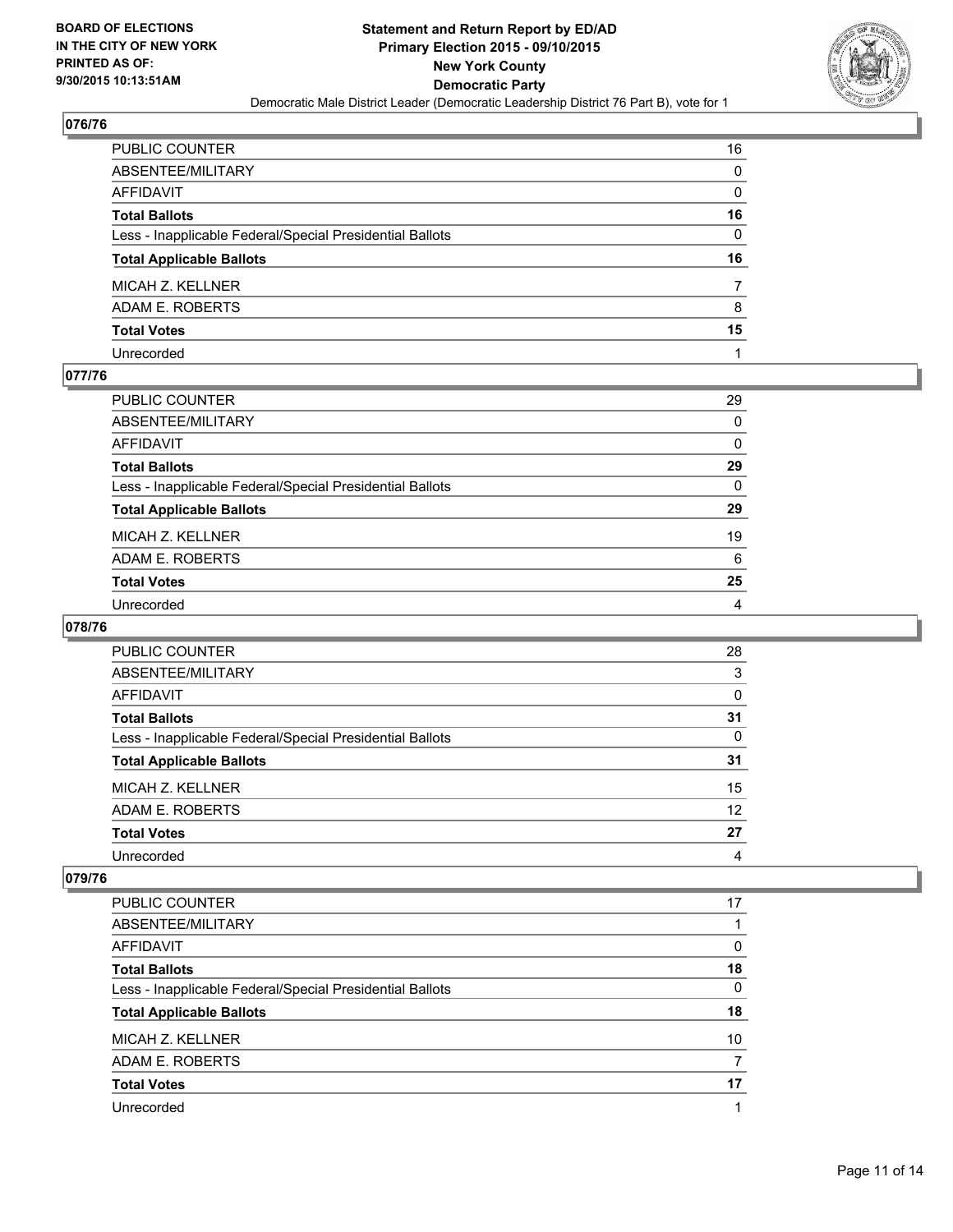

| PUBLIC COUNTER                                           | 16 |
|----------------------------------------------------------|----|
| ABSENTEE/MILITARY                                        | 0  |
| AFFIDAVIT                                                | 0  |
| Total Ballots                                            | 16 |
| Less - Inapplicable Federal/Special Presidential Ballots | 0  |
| <b>Total Applicable Ballots</b>                          | 16 |
|                                                          |    |
| MICAH Z. KELLNER                                         |    |
| ADAM E. ROBERTS                                          | 8  |
| <b>Total Votes</b>                                       | 15 |

## **077/76**

| PUBLIC COUNTER                                           | 29       |
|----------------------------------------------------------|----------|
| ABSENTEE/MILITARY                                        | $\Omega$ |
| AFFIDAVIT                                                | 0        |
| Total Ballots                                            | 29       |
| Less - Inapplicable Federal/Special Presidential Ballots | $\Omega$ |
| <b>Total Applicable Ballots</b>                          | 29       |
| MICAH Z. KELLNER                                         | 19       |
| ADAM E. ROBERTS                                          | 6        |
| <b>Total Votes</b>                                       | 25       |
| Unrecorded                                               | 4        |

#### **078/76**

| PUBLIC COUNTER                                           | 28 |
|----------------------------------------------------------|----|
| ABSENTEE/MILITARY                                        | 3  |
| AFFIDAVIT                                                | 0  |
| <b>Total Ballots</b>                                     | 31 |
| Less - Inapplicable Federal/Special Presidential Ballots | 0  |
| <b>Total Applicable Ballots</b>                          | 31 |
| MICAH Z. KELLNER                                         | 15 |
| ADAM E. ROBERTS                                          | 12 |
| <b>Total Votes</b>                                       | 27 |
| Unrecorded                                               | 4  |

| <b>PUBLIC COUNTER</b>                                    | 17       |
|----------------------------------------------------------|----------|
| ABSENTEE/MILITARY                                        |          |
| <b>AFFIDAVIT</b>                                         | 0        |
| <b>Total Ballots</b>                                     | 18       |
| Less - Inapplicable Federal/Special Presidential Ballots | $\Omega$ |
| <b>Total Applicable Ballots</b>                          | 18       |
| MICAH Z. KELLNER                                         | 10       |
| ADAM E. ROBERTS                                          |          |
| <b>Total Votes</b>                                       | 17       |
| Unrecorded                                               |          |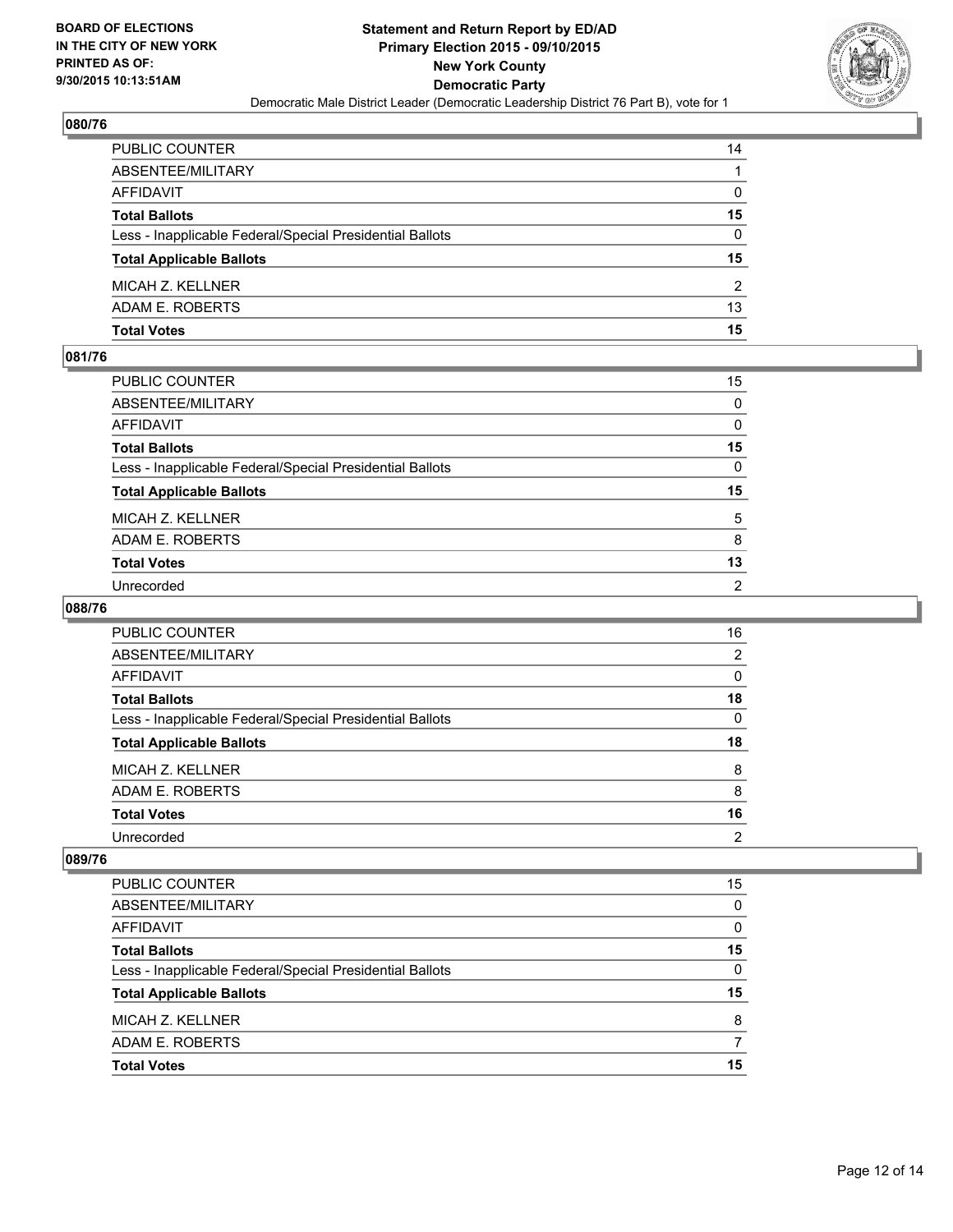

| PUBLIC COUNTER                                           | 14           |
|----------------------------------------------------------|--------------|
| ABSENTEE/MILITARY                                        | 1            |
| AFFIDAVIT                                                | $\mathbf{0}$ |
| Total Ballots                                            | 15           |
| Less - Inapplicable Federal/Special Presidential Ballots | $\mathbf{0}$ |
| <b>Total Applicable Ballots</b>                          | 15           |
| MICAH Z. KELLNER                                         | 2            |
| ADAM E. ROBERTS                                          | 13           |
| Total Votes                                              | 15           |

## **081/76**

| PUBLIC COUNTER                                           | 15             |
|----------------------------------------------------------|----------------|
| ABSENTEE/MILITARY                                        | 0              |
| AFFIDAVIT                                                | 0              |
| Total Ballots                                            | 15             |
| Less - Inapplicable Federal/Special Presidential Ballots | $\mathbf{0}$   |
| <b>Total Applicable Ballots</b>                          | 15             |
| MICAH Z. KELLNER                                         | 5              |
| ADAM E. ROBERTS                                          | 8              |
| Total Votes                                              | 13             |
| Unrecorded                                               | $\overline{2}$ |
|                                                          |                |

## **088/76**

| <b>PUBLIC COUNTER</b>                                    | 16             |
|----------------------------------------------------------|----------------|
| ABSENTEE/MILITARY                                        | 2              |
| AFFIDAVIT                                                | 0              |
| <b>Total Ballots</b>                                     | 18             |
| Less - Inapplicable Federal/Special Presidential Ballots | 0              |
| <b>Total Applicable Ballots</b>                          | 18             |
| MICAH Z. KELLNER                                         | 8              |
| ADAM E. ROBERTS                                          | 8              |
| <b>Total Votes</b>                                       | 16             |
| Unrecorded                                               | $\overline{2}$ |

| <b>PUBLIC COUNTER</b>                                    | 15 |
|----------------------------------------------------------|----|
| ABSENTEE/MILITARY                                        | 0  |
| AFFIDAVIT                                                | 0  |
| <b>Total Ballots</b>                                     | 15 |
| Less - Inapplicable Federal/Special Presidential Ballots | 0  |
| <b>Total Applicable Ballots</b>                          | 15 |
| MICAH Z. KELLNER                                         | 8  |
| ADAM E. ROBERTS                                          | 7  |
| <b>Total Votes</b>                                       | 15 |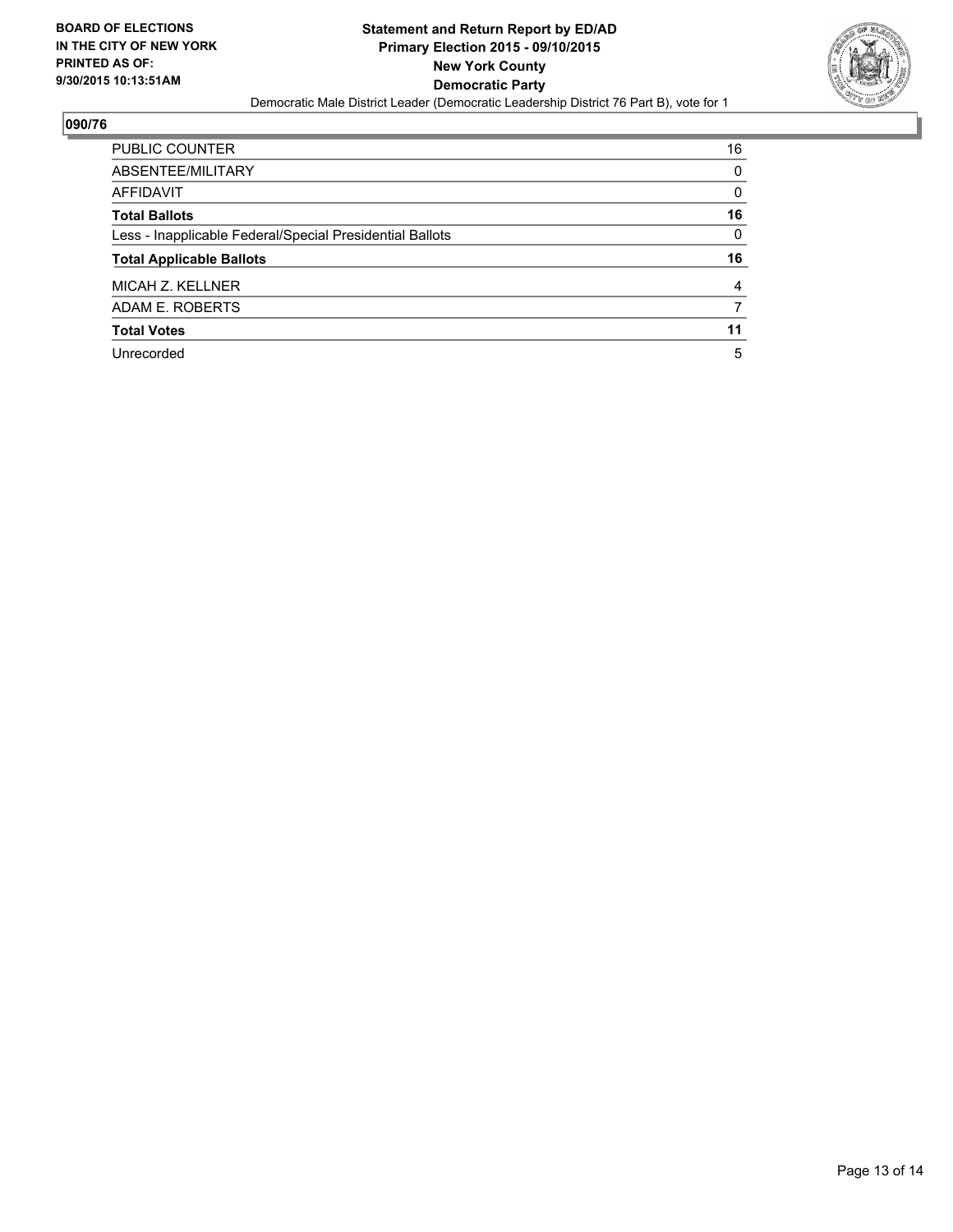

| PUBLIC COUNTER                                           | 16       |
|----------------------------------------------------------|----------|
| ABSENTEE/MILITARY                                        | 0        |
| AFFIDAVIT                                                | $\Omega$ |
| <b>Total Ballots</b>                                     | 16       |
| Less - Inapplicable Federal/Special Presidential Ballots | $\Omega$ |
| <b>Total Applicable Ballots</b>                          | 16       |
| MICAH Z. KELLNER                                         | 4        |
| ADAM E. ROBERTS                                          | 7        |
| <b>Total Votes</b>                                       | 11       |
|                                                          |          |